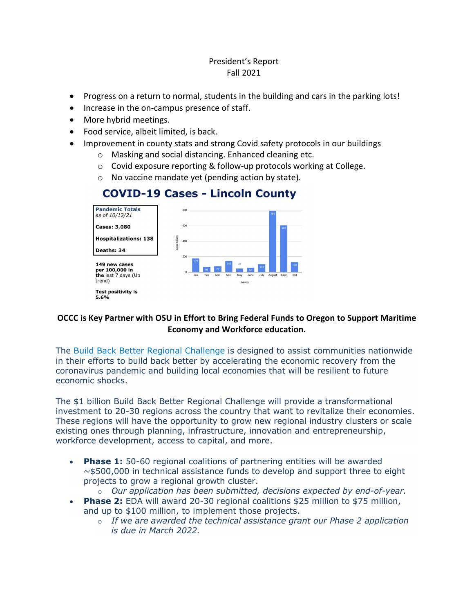#### President's Report Fall 2021

- Progress on a return to normal, students in the building and cars in the parking lots!
- Increase in the on-campus presence of staff.
- More hybrid meetings.
- Food service, albeit limited, is back.
- Improvement in county stats and strong Covid safety protocols in our buildings
	- o Masking and social distancing. Enhanced cleaning etc.
	- o Covid exposure reporting & follow-up protocols working at College.
	- o No vaccine mandate yet (pending action by state).



# **COVID-19 Cases - Lincoln County**

## **OCCC is Key Partner with OSU in Effort to Bring Federal Funds to Oregon to Support Maritime Economy and Workforce education.**

The [Build Back Better Regional Challenge](https://www.grants.gov/web/grants/view-opportunity.html?oppId=334735) is designed to assist communities nationwide in their efforts to build back better by accelerating the economic recovery from the coronavirus pandemic and building local economies that will be resilient to future economic shocks.

The \$1 billion Build Back Better Regional Challenge will provide a transformational investment to 20-30 regions across the country that want to revitalize their economies. These regions will have the opportunity to grow new regional industry clusters or scale existing ones through planning, infrastructure, innovation and entrepreneurship, workforce development, access to capital, and more.

- **Phase 1:** 50-60 regional coalitions of partnering entities will be awarded  $\sim$ \$500,000 in technical assistance funds to develop and support three to eight projects to grow a regional growth cluster.
	- o *Our application has been submitted, decisions expected by end-of-year.*
- **Phase 2:** EDA will award 20-30 regional coalitions \$25 million to \$75 million, and up to \$100 million, to implement those projects.
	- o *If we are awarded the technical assistance grant our Phase 2 application is due in March 2022.*